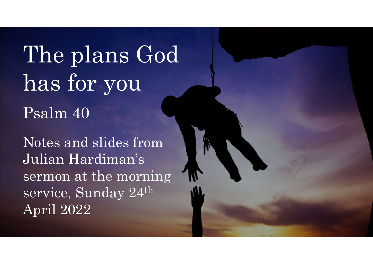The plans God has for you Psalm 40

Notes and slides from Julian Hardiman's sermon at the morning service, Sunday 24<sup>th</sup> April 2022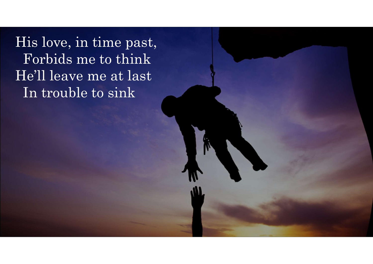His love, in time past, Forbids me to think He'll leave me at last In trouble to sink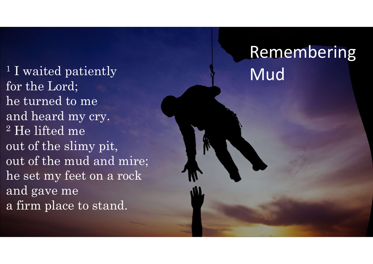<sup>1</sup> I waited patiently  $\begin{array}{l} \text{1 I waited patiently} \ \text{for the Lord;} \ \text{he turned to me} \end{array}$ he turned to me and heard my cry. <sup>2</sup> He lifted me out of the slimy pit, <sup>1</sup> I waited patiently<br>for the Lord;<br>he turned to me<br>and heard my cry.<br><sup>2</sup> He lifted me<br>out of the simy pit,<br>out of the mud and mire;<br>he set my feet on a rock <sup>1</sup> I waited patiently<br>for the Lord;<br>he turned to me<br>and heard my cry.<br><sup>2</sup> He lifted me<br>out of the slimy pit,<br>out of the mud and mire;<br>he set my feet on a rock<br>and gave me and gave me he turned to me<br>
and heard my cry.<br>
<sup>2</sup> He lifted me<br>
out of the slimy pit,<br>
out of the mud and mire;<br>
he set my feet on a rock<br>
and gave me<br>
a firm place to stand.

### Remembering Mud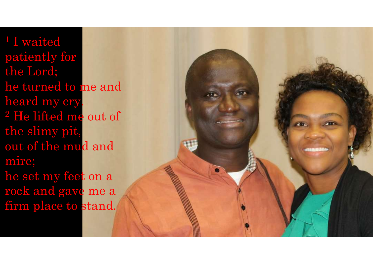<sup>1</sup> I waited  $\frac{1}{1}$  I waited<br>patiently for<br>the Lord;<br>he turned to me and  $\begin{array}{l} \text{1 I waited}\ \text{patically for}\ \text{the Lord;} \ \text{he turned to me and}\ \text{hoord m} \text{w} \text{ or}\ \end{array}$ he turned to me and heard my cry. <sup>2</sup> He lifted me out of the slimy pit, <sup>1</sup> I waited<br>patiently for<br>the Lord;<br>he turned to me and<br>heard my cry.<br><sup>2</sup> He lifted me out of<br>the slimy pit,<br>out of the mud and<br>mire;<br>he set my feet on a mire; the Lord;<br>
he turned to me and<br>
heard my cry.<br>
<sup>2</sup> He lifted me out of<br>
the slimy pit,<br>
out of the mud and<br>
mire;<br>
he set my feet on a<br>
rock and gave me a<br>
firm place to stand rock and gave me a heard my cry.<br>
<sup>2</sup> He lifted me out of<br>
the slimy pit,<br>
out of the mud and<br>
mire;<br>
he set my feet on a<br>
rock and gave me a<br>
firm place to stand.

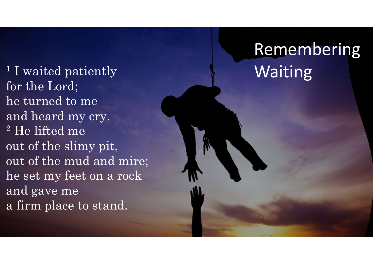<sup>1</sup> I waited patiently  $\begin{array}{l} \text{1 I waited patiently} \ \text{for the Lord;} \ \text{he turned to me} \end{array}$ he turned to me and heard my cry. <sup>2</sup> He lifted me out of the slimy pit, <sup>1</sup> I waited patiently<br>for the Lord;<br>he turned to me<br>and heard my cry.<br><sup>2</sup> He lifted me<br>out of the simy pit,<br>out of the mud and mire;<br>he set my feet on a rock <sup>1</sup> I waited patiently<br>for the Lord;<br>he turned to me<br>and heard my cry.<br><sup>2</sup> He lifted me<br>out of the slimy pit,<br>out of the mud and mire;<br>he set my feet on a rock<br>and gave me and gave me he turned to me<br>
and heard my cry.<br>
<sup>2</sup> He lifted me<br>
out of the slimy pit,<br>
out of the mud and mire;<br>
he set my feet on a rock<br>
and gave me<br>
a firm place to stand.

# Remembering Waiting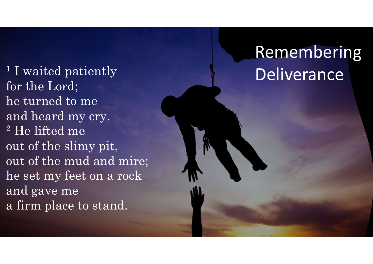<sup>1</sup> I waited patiently  $\begin{array}{l} \text{1 I waited patiently} \ \text{for the Lord;} \ \text{he turned to me} \end{array}$ he turned to me and heard my cry. <sup>2</sup> He lifted me out of the slimy pit, <sup>1</sup> I waited patiently<br>for the Lord;<br>he turned to me<br>and heard my cry.<br><sup>2</sup> He lifted me<br>out of the simy pit,<br>out of the mud and mire;<br>he set my feet on a rock <sup>1</sup> I waited patiently<br>for the Lord;<br>he turned to me<br>and heard my cry.<br><sup>2</sup> He lifted me<br>out of the slimy pit,<br>out of the mud and mire;<br>he set my feet on a rock<br>and gave me and gave me he turned to me<br>
and heard my cry.<br>
<sup>2</sup> He lifted me<br>
out of the slimy pit,<br>
out of the mud and mire;<br>
he set my feet on a rock<br>
and gave me<br>
a firm place to stand.

#### Remembering **Deliverance**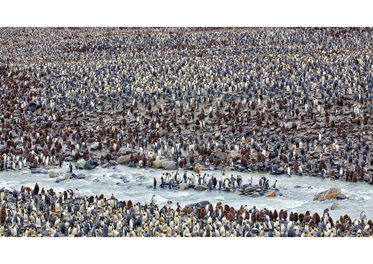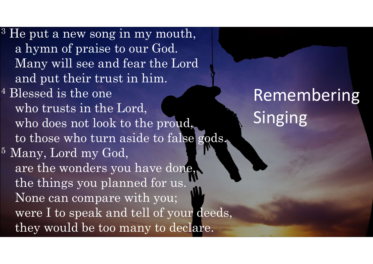<sup>3</sup> He put a new song in my mouth, a hymn of praise to our God. Ie put a new song in my mouth,<br>a hymn of praise to our God.<br>Many will see and fear the Lord<br>and put their trust in him. Ie put a new song in my mouth,<br>a hymn of praise to our God.<br>Many will see and fear the Lord<br>and put their trust in him.<br>Blessed is the one <sup>4</sup> Blessed is the one Fractional Henrich School and put their trust in him.<br>
When their trust in him.<br>
Sessed is the one who trusts in the Lord,<br>
who does not look to the proud,<br>
to these who turn aside to false and a state of the school of the who does not look to the proud, to those who turn aside to false gods. a hymn of praise to our God.<br>
Many will see and fear the Lord<br>
and put their trust in him.<br>
<sup>4</sup> Blessed is the one<br>
who trusts in the Lord,<br>
who does not look to the proud,<br>
to those who turn aside to false gods.<br>
<sup>5</sup> Many Many will see and fear the Lord<br>and put their trust in him.<br>Blessed is the one<br>who trusts in the Lord,<br>who does not look to the proud,<br>to those who turn aside to false gods.<br>Many, Lord my God,<br>are the wonders you have done the things you planned for us. Represent is the one who trusts in the Lord,<br>who does not look to the proud, since who turn aside to false gods.<br>Many, Lord my God,<br>are the wonders you have done, the things you planned for us.<br>None can compare with you;<br>w were I to speak and tell of your deeds, who does not look to the proud,<br>to those who turn aside to false gods.<br>Many, Lord my God,<br>are the wonders you have done,<br>the things you planned for us.<br>None can compare with you;<br>were I to speak and tell of your deeds,<br>the

# Remembering Singing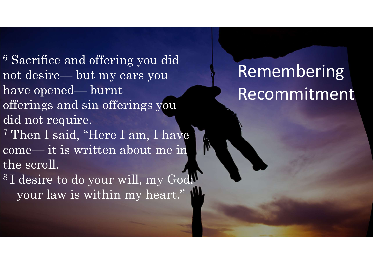<sup>6</sup> Sacrifice and offering you did  $^6$  Sacrifice and offering you did<br>not desire— but my ears you<br>have opened— burnt <sup>6</sup> Sacrifice and offering you did<br>not desire— but my ears you<br>have opened— burnt<br>offerings and sin offerings you  $\begin{array}{ll}\n ^6\text{Sacrifice and offering you did} \n \text{not desire—but my ears you} \n \text{have opened—but my ears you} \n \text{where} \n \text{offerings and sin offerings you} \n \text{did not require.} \n \end{array}$ <sup>6</sup> Sacrifice and offering you did<br>
not desire— but my ears you<br>
have opened— burnt<br>
offerings and sin offerings you<br>
did not require.<br>
<sup>7</sup> Then I said, "Here I am, I have<br>
come— it is written about me in<br>
the scroll.<br>  $8$ 

did not require.

<sup>7</sup> Then I said, "Here I am, I have the scroll. ot desire— but my ears you<br>
ave opened— burnt<br>
fferings and sin offerings you<br>
id not require.<br>
Then I said, "Here I am, I have<br>
ome— it is written about me in<br>
he scroll.<br>
I desire to do your will, my God;<br>
your law is wi

<sup>8</sup>I desire to do your will, my God; your law is within my heart."

# Remembering Recommitment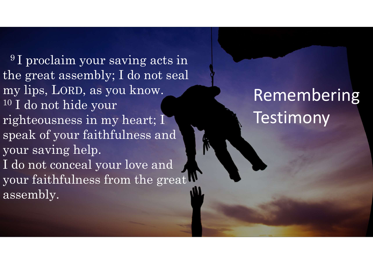<sup>9</sup>I proclaim your saving acts in I proclaim your saving acts in<br>e great assembly; I do not seal the great assembly; I do not seal <sup>9</sup>I proclaim your saving acts in<br>the great assembly; I do not seal<br>my lips, LORD, as you know.<br><sup>10</sup> I do not hide your <sup>10</sup> I do not hide your righteousness in my heart; I <sup>9</sup> I proclaim your saving acts in<br>the great assembly; I do not seal<br>my lips, LORD, as you know.<br> $\frac{10}{10}$  I do not hide your<br>righteousness in my heart; I<br>speak of your faithfulness and<br>your saving help.<br>I do not cancel your saving help. <sup>9</sup>I proclaim your saving acts in<br>the great assembly; I do not seal<br>my lips, LORD, as you know.<br><sup>10</sup> I do not hide your<br>righteousness in my heart; I<br>speak of your faithfulness and<br>your saving help.<br>I do not conceal your l the great assembly; I do not seal<br>my lips, LORD, as you know.<br><sup>10</sup> I do not hide your<br>righteousness in my heart; I<br>speak of your faithfulness and<br>your saving help.<br>I do not conceal your love and<br>your faithfulness from the assembly.

#### Remembering Testimony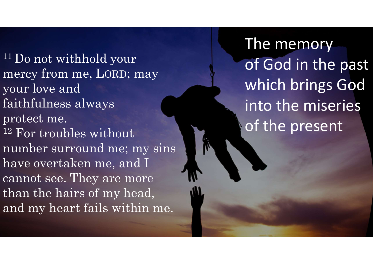<sup>11</sup> Do not withhold your <sup>11</sup> Do not withhold your<br>
mercy from me, LORD; may<br>
your love and<br>
faithfulness always  $^{11}$  Do not withhold your<br>mercy from me, LORD; may<br>your love and<br>faithfulness always <sup>11</sup> Do not withhold your<br>mercy from me, LORD; may<br>your love and<br>faithfulness always<br>protect me.<br> $\frac{12}{12}$  For troubles without <sup>11</sup> Do not withhold your<br>mercy from me, LORD; may<br>your love and<br>faithfulness always<br>protect me.<br><sup>12</sup> For troubles without <sup>11</sup> Do not withhold your<br>mercy from me, LORD; may<br>your love and<br>faithfulness always<br>protect me.<br> $12$  For troubles without<br>number surround me; my sins<br>howe evertaken me, and I The 1<br>
11 Do not withhold your<br>
mercy from me, LORD; may<br>
your love and<br>
faithfulness always<br>
protect me.<br>
12 For troubles without<br>
12 For troubles without<br>
the surround me; my sins<br>
have overtaken me, and I have overtaken me, and I cannot see. They are more than the hairs of my head, Faithfulness always<br>
protect me.<br>
<sup>12</sup> For troubles without<br>
number surround me; my sins<br>
have overtaken me, and I<br>
cannot see. They are more<br>
than the hairs of my head,<br>
and my heart fails within me.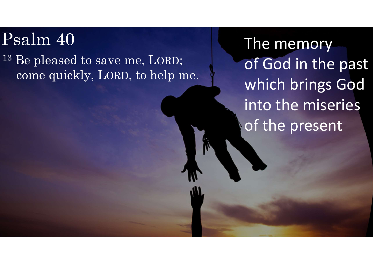#### Psalm 40

Psalm 40 The me<br>
<sup>13</sup> Be pleased to save me, LORD; of God<br>
come quickly, LORD, to help me. Which k  $\operatorname{salm}40$ <br>Be pleased to save me, LORD;<br>come quickly, LORD, to help me.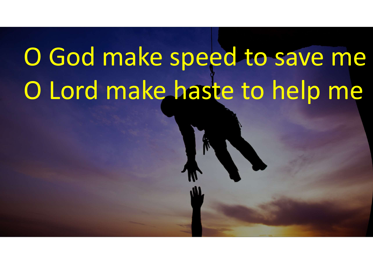# O God make speed to save me O Lord make haste to help me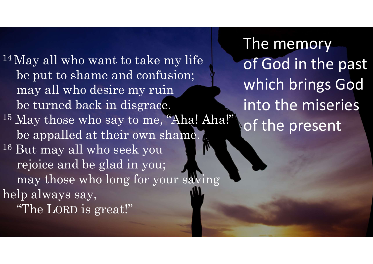<sup>14</sup> May all who want to take my life be put to shame and confusion; may all who desire my ruin be turned back in disgrace. <sup>15</sup> May those who say to me, "Aha! Aha!" be appalled at their own shame. <sup>16</sup> But may all who seek you May all who want to take my life<br>
be put to shame and confusion;<br>
may all who desire my ruin<br>
be turned back in disgrace. Into<br>
May those who say to me, "Aha! Aha!"<br>
be appalled at their own shame.<br>
But may all who seek yo may those who long for your savi help always say, be turned back in disgrace.<br>May those who say to me, "Aha<br>be appalled at their own shame<br>But may all who seek you<br>rejoice and be glad in you;<br>may those who long for your sa<br>lp always say,<br>"The LORD is great!"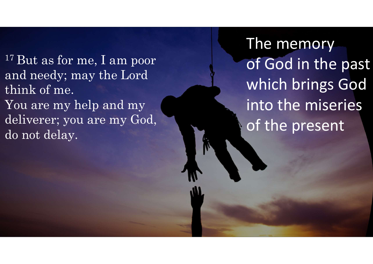<sup>17</sup> But as for me, I am poor  $^{17}$  But as for me, I am poor<br>and needy; may the Lord<br>think of me.<br>You are my belp and my  $^{17}$  But as for me, I am poor<br>and needy; may the Lord<br>think of me.<br>You are my help and my<br>doliverer: you are my God  $^{17}$  But as for me, I am poor<br>and needy; may the Lord<br>think of me.<br>You are my help and my<br>deliverer; you are my God, deliverer; you are my God, do not delay.